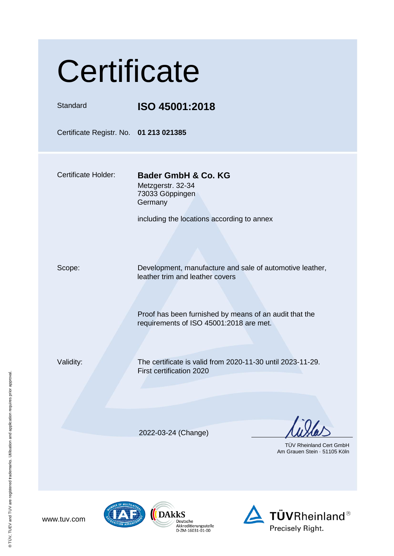| Certificate                            |                                                                                                                                                                                                  |
|----------------------------------------|--------------------------------------------------------------------------------------------------------------------------------------------------------------------------------------------------|
| Standard                               | ISO 45001:2018                                                                                                                                                                                   |
| Certificate Registr. No. 01 213 021385 |                                                                                                                                                                                                  |
| <b>Certificate Holder:</b>             | Bader GmbH & Co. KG<br>Metzgerstr. 32-34<br>73033 Göppingen<br>Germany<br>including the locations according to annex                                                                             |
| Scope:                                 | Development, manufacture and sale of automotive leather,<br>leather trim and leather covers<br>Proof has been furnished by means of an audit that the<br>requirements of ISO 45001:2018 are met. |
| Validity:                              | The certificate is valid from 2020-11-30 until 2023-11-29.<br>First certification 2020                                                                                                           |
|                                        | 2022-03-24 (Change)<br><b>TUV Rheinland Cert GmbH</b><br>Am Grauen Stein · 51105 Köln                                                                                                            |



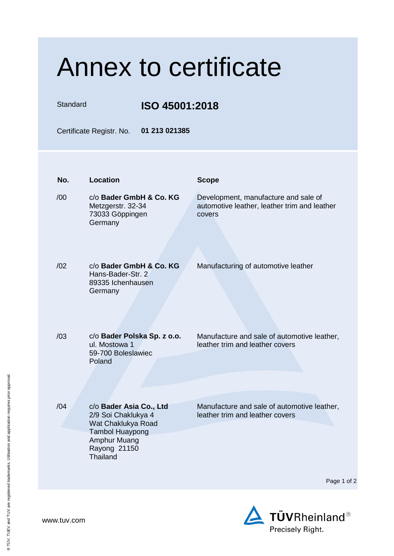Standard **ISO 45001:2018**

Certificate Registr. No. **01 213 021385**

| No. | <b>Location</b>                                                                                                                            | <b>Scope</b>                                                                                   |
|-----|--------------------------------------------------------------------------------------------------------------------------------------------|------------------------------------------------------------------------------------------------|
| /00 | c/o Bader GmbH & Co. KG<br>Metzgerstr. 32-34<br>73033 Göppingen<br>Germany                                                                 | Development, manufacture and sale of<br>automotive leather, leather trim and leather<br>covers |
| /02 | c/o Bader GmbH & Co. KG<br>Hans-Bader-Str. 2<br>89335 Ichenhausen<br>Germany                                                               | Manufacturing of automotive leather                                                            |
| /03 | c/o Bader Polska Sp. z o.o.<br>ul. Mostowa 1<br>59-700 Boleslawiec<br>Poland                                                               | Manufacture and sale of automotive leather,<br>leather trim and leather covers                 |
| /04 | c/o Bader Asia Co., Ltd<br>2/9 Soi Chaklukya 4<br>Wat Chaklukya Road<br><b>Tambol Huaypong</b><br>Amphur Muang<br>Rayong 21150<br>Thailand | Manufacture and sale of automotive leather,<br>leather trim and leather covers                 |
|     |                                                                                                                                            | Page 1                                                                                         |
|     |                                                                                                                                            |                                                                                                |

of 2

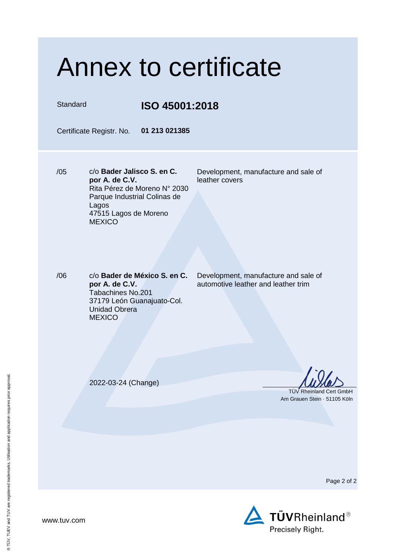| <b>Annex to certificate</b> |                                                                                                                                                                 |                                                                             |  |
|-----------------------------|-----------------------------------------------------------------------------------------------------------------------------------------------------------------|-----------------------------------------------------------------------------|--|
| Standard                    | ISO 45001:2018                                                                                                                                                  |                                                                             |  |
|                             | Certificate Registr. No.<br>01 213 021385                                                                                                                       |                                                                             |  |
| /05                         | c/o Bader Jalisco S. en C.<br>por A. de C.V.<br>Rita Pérez de Moreno N° 2030<br>Parque Industrial Colinas de<br>Lagos<br>47515 Lagos de Moreno<br><b>MEXICO</b> | Development, manufacture and sale of<br>leather covers                      |  |
| /06                         | c/o Bader de México S. en C.<br>por A. de C.V.<br>Tabachines No.201<br>37179 León Guanajuato-Col.<br><b>Unidad Obrera</b><br><b>MEXICO</b>                      | Development, manufacture and sale of<br>automotive leather and leather trim |  |
|                             | 2022-03-24 (Change)                                                                                                                                             | <b>TUV Rheinland Cert GmbH</b><br>Am Grauen Stein · 51105 Köln              |  |

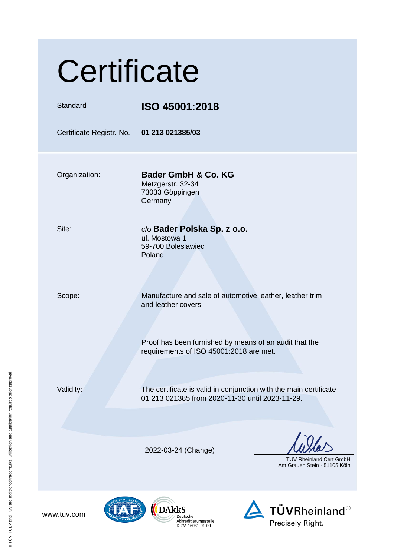| Certificate                               |                                                                                                                                          |
|-------------------------------------------|------------------------------------------------------------------------------------------------------------------------------------------|
| Standard                                  | ISO 45001:2018                                                                                                                           |
| Certificate Registr. No. 01 213 021385/03 |                                                                                                                                          |
| Organization:                             | <b>Bader GmbH &amp; Co. KG</b><br>Metzgerstr. 32-34<br>73033 Göppingen<br>Germany                                                        |
| Site:                                     | c/o Bader Polska Sp. z o.o.<br>ul. Mostowa 1<br>59-700 Boleslawiec<br>Poland                                                             |
| Scope:                                    | Manufacture and sale of automotive leather, leather trim<br>and leather covers<br>Proof has been furnished by means of an audit that the |
|                                           | requirements of ISO 45001:2018 are met.                                                                                                  |
| Validity:                                 | The certificate is valid in conjunction with the main certificate<br>01 213 021385 from 2020-11-30 until 2023-11-29.                     |
|                                           | 2022-03-24 (Change)<br><b>TÜV Rheinland Cert GmbH</b><br>Am Grauen Stein 51105 Köln                                                      |
|                                           | $\mathbf{u}$ Dalle                                                                                                                       |



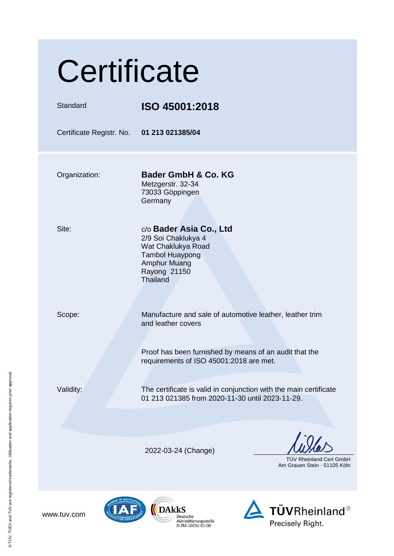| Certificate                               |                                                                                                                                                                 |  |
|-------------------------------------------|-----------------------------------------------------------------------------------------------------------------------------------------------------------------|--|
| Standard                                  | ISO 45001:2018                                                                                                                                                  |  |
| Certificate Registr. No. 01 213 021385/04 |                                                                                                                                                                 |  |
| Organization:                             | Bader GmbH & Co. KG<br>Metzgerstr. 32-34<br>73033 Göppingen<br>Germany                                                                                          |  |
| Site:                                     | c/o Bader Asia Co., Ltd<br>2/9 Soi Chaklukya 4<br>Wat Chaklukya Road<br><b>Tambol Huaypong</b><br>Amphur Muang<br>Rayong 21150<br>Thailand                      |  |
| Scope:                                    | Manufacture and sale of automotive leather, leather trim<br>and leather covers<br>Proof has been furnished by means of an audit that the                        |  |
| Validity:                                 | requirements of ISO 45001:2018 are met.<br>The certificate is valid in conjunction with the main certificate<br>01 213 021385 from 2020-11-30 until 2023-11-29. |  |
|                                           | 2022-03-24 (Change)<br><b>TUV Rheinland Cert GmbH</b><br>Am Grauen Stein 51105 Köln                                                                             |  |
| www.tuv.com                               | <b>TÜVRheinland®</b><br>DAkkS<br>Deutsche<br>Akkreditierungsstelle<br>Precisely Right.<br>D-ZM-16031-01-00                                                      |  |

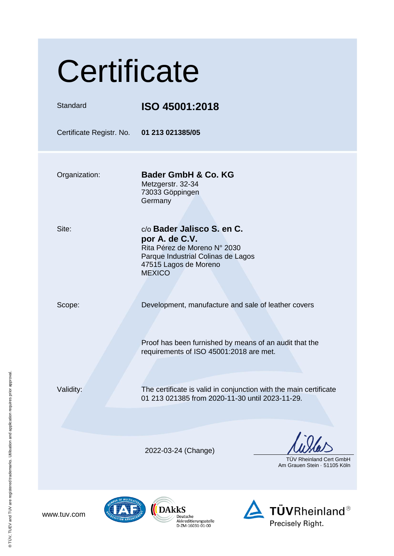| Certificate                               |                                                                                                                                                              |
|-------------------------------------------|--------------------------------------------------------------------------------------------------------------------------------------------------------------|
| Standard                                  | ISO 45001:2018                                                                                                                                               |
| Certificate Registr. No. 01 213 021385/05 |                                                                                                                                                              |
| Organization:                             | Bader GmbH & Co. KG<br>Metzgerstr. 32-34<br>73033 Göppingen<br>Germany                                                                                       |
| Site:                                     | c/o Bader Jalisco S. en C.<br>por A. de C.V.<br>Rita Pérez de Moreno N° 2030<br>Parque Industrial Colinas de Lagos<br>47515 Lagos de Moreno<br><b>MEXICO</b> |
| Scope:                                    | Development, manufacture and sale of leather covers<br>Proof has been furnished by means of an audit that the<br>requirements of ISO 45001:2018 are met.     |
| Validity:                                 | The certificate is valid in conjunction with the main certificate<br>01 213 021385 from 2020-11-30 until 2023-11-29.                                         |
|                                           | 2022-03-24 (Change)<br>TÜV Rheinland Cert GmbH<br>Am Grauen Stein 51105 Köln                                                                                 |
| www.tuv.com                               | <b>TÜVRheinland®</b><br><b>DARKS</b><br>Deutsche<br>Akkreditierungsstelle<br>Precisely Right.<br>D-ZM-16031-01-00                                            |